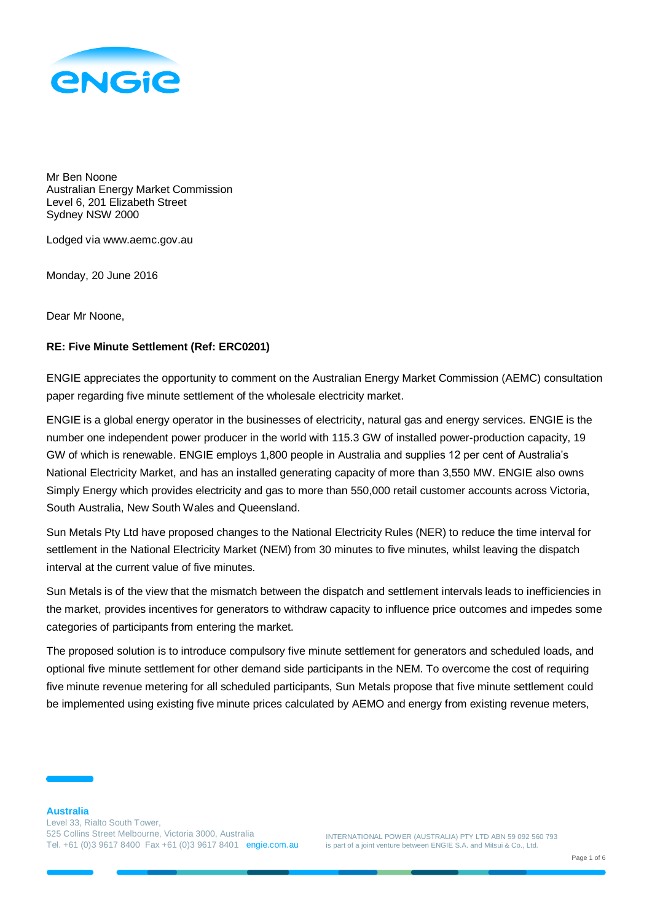

Mr Ben Noone Australian Energy Market Commission Level 6, 201 Elizabeth Street Sydney NSW 2000

Lodged via www.aemc.gov.au

Monday, 20 June 2016

Dear Mr Noone,

## **RE: Five Minute Settlement (Ref: ERC0201)**

ENGIE appreciates the opportunity to comment on the Australian Energy Market Commission (AEMC) consultation paper regarding five minute settlement of the wholesale electricity market.

ENGIE is a global energy operator in the businesses of electricity, natural gas and energy services. ENGIE is the number one independent power producer in the world with 115.3 GW of installed power-production capacity, 19 GW of which is renewable. ENGIE employs 1,800 people in Australia and supplies 12 per cent of Australia's National Electricity Market, and has an installed generating capacity of more than 3,550 MW. ENGIE also owns Simply Energy which provides electricity and gas to more than 550,000 retail customer accounts across Victoria, South Australia, New South Wales and Queensland.

Sun Metals Pty Ltd have proposed changes to the National Electricity Rules (NER) to reduce the time interval for settlement in the National Electricity Market (NEM) from 30 minutes to five minutes, whilst leaving the dispatch interval at the current value of five minutes.

Sun Metals is of the view that the mismatch between the dispatch and settlement intervals leads to inefficiencies in the market, provides incentives for generators to withdraw capacity to influence price outcomes and impedes some categories of participants from entering the market.

The proposed solution is to introduce compulsory five minute settlement for generators and scheduled loads, and optional five minute settlement for other demand side participants in the NEM. To overcome the cost of requiring five minute revenue metering for all scheduled participants, Sun Metals propose that five minute settlement could be implemented using existing five minute prices calculated by AEMO and energy from existing revenue meters,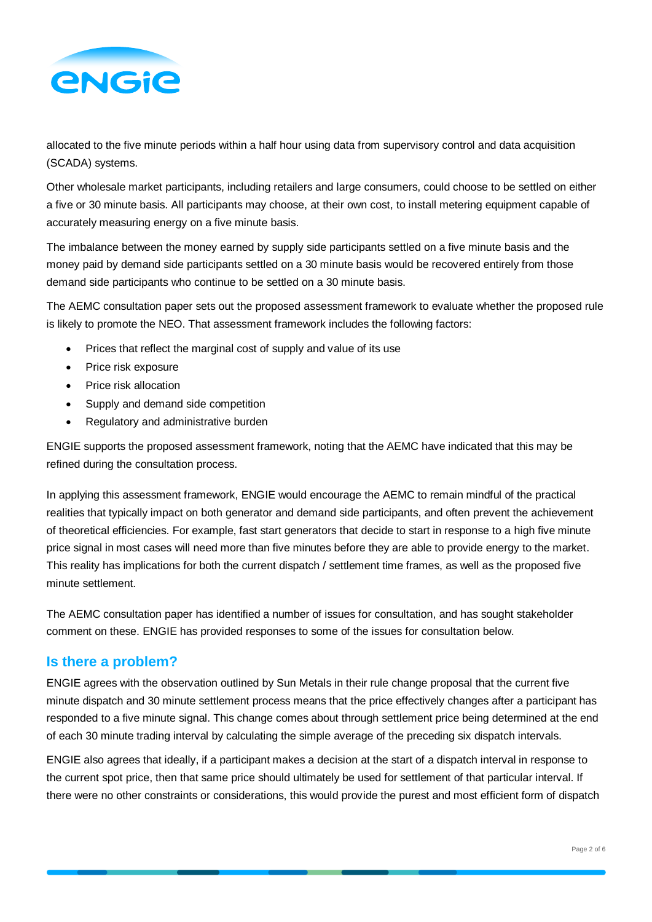

allocated to the five minute periods within a half hour using data from supervisory control and data acquisition (SCADA) systems.

Other wholesale market participants, including retailers and large consumers, could choose to be settled on either a five or 30 minute basis. All participants may choose, at their own cost, to install metering equipment capable of accurately measuring energy on a five minute basis.

The imbalance between the money earned by supply side participants settled on a five minute basis and the money paid by demand side participants settled on a 30 minute basis would be recovered entirely from those demand side participants who continue to be settled on a 30 minute basis.

The AEMC consultation paper sets out the proposed assessment framework to evaluate whether the proposed rule is likely to promote the NEO. That assessment framework includes the following factors:

- Prices that reflect the marginal cost of supply and value of its use
- Price risk exposure
- Price risk allocation
- Supply and demand side competition
- Regulatory and administrative burden

ENGIE supports the proposed assessment framework, noting that the AEMC have indicated that this may be refined during the consultation process.

In applying this assessment framework, ENGIE would encourage the AEMC to remain mindful of the practical realities that typically impact on both generator and demand side participants, and often prevent the achievement of theoretical efficiencies. For example, fast start generators that decide to start in response to a high five minute price signal in most cases will need more than five minutes before they are able to provide energy to the market. This reality has implications for both the current dispatch / settlement time frames, as well as the proposed five minute settlement.

The AEMC consultation paper has identified a number of issues for consultation, and has sought stakeholder comment on these. ENGIE has provided responses to some of the issues for consultation below.

## **Is there a problem?**

ENGIE agrees with the observation outlined by Sun Metals in their rule change proposal that the current five minute dispatch and 30 minute settlement process means that the price effectively changes after a participant has responded to a five minute signal. This change comes about through settlement price being determined at the end of each 30 minute trading interval by calculating the simple average of the preceding six dispatch intervals.

ENGIE also agrees that ideally, if a participant makes a decision at the start of a dispatch interval in response to the current spot price, then that same price should ultimately be used for settlement of that particular interval. If there were no other constraints or considerations, this would provide the purest and most efficient form of dispatch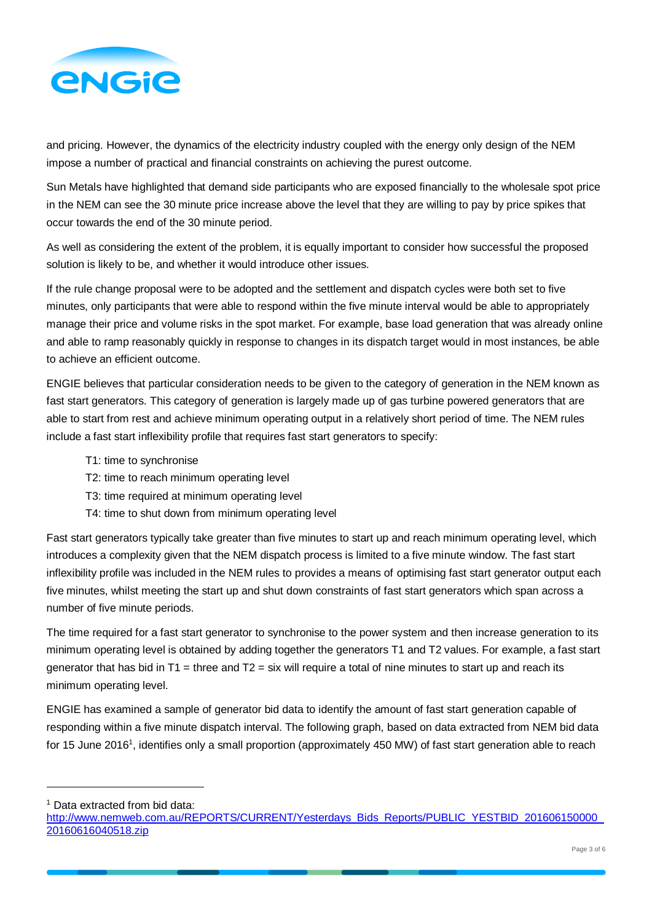

and pricing. However, the dynamics of the electricity industry coupled with the energy only design of the NEM impose a number of practical and financial constraints on achieving the purest outcome.

Sun Metals have highlighted that demand side participants who are exposed financially to the wholesale spot price in the NEM can see the 30 minute price increase above the level that they are willing to pay by price spikes that occur towards the end of the 30 minute period.

As well as considering the extent of the problem, it is equally important to consider how successful the proposed solution is likely to be, and whether it would introduce other issues.

If the rule change proposal were to be adopted and the settlement and dispatch cycles were both set to five minutes, only participants that were able to respond within the five minute interval would be able to appropriately manage their price and volume risks in the spot market. For example, base load generation that was already online and able to ramp reasonably quickly in response to changes in its dispatch target would in most instances, be able to achieve an efficient outcome.

ENGIE believes that particular consideration needs to be given to the category of generation in the NEM known as fast start generators. This category of generation is largely made up of gas turbine powered generators that are able to start from rest and achieve minimum operating output in a relatively short period of time. The NEM rules include a fast start inflexibility profile that requires fast start generators to specify:

- T1: time to synchronise
- T2: time to reach minimum operating level
- T3: time required at minimum operating level
- T4: time to shut down from minimum operating level

Fast start generators typically take greater than five minutes to start up and reach minimum operating level, which introduces a complexity given that the NEM dispatch process is limited to a five minute window. The fast start inflexibility profile was included in the NEM rules to provides a means of optimising fast start generator output each five minutes, whilst meeting the start up and shut down constraints of fast start generators which span across a number of five minute periods.

The time required for a fast start generator to synchronise to the power system and then increase generation to its minimum operating level is obtained by adding together the generators T1 and T2 values. For example, a fast start generator that has bid in  $T1 =$  three and  $T2 =$  six will require a total of nine minutes to start up and reach its minimum operating level.

ENGIE has examined a sample of generator bid data to identify the amount of fast start generation capable of responding within a five minute dispatch interval. The following graph, based on data extracted from NEM bid data for 15 June 2016<sup>1</sup>, identifies only a small proportion (approximately 450 MW) of fast start generation able to reach

<sup>1</sup> Data extracted from bid data:

l

[http://www.nemweb.com.au/REPORTS/CURRENT/Yesterdays\\_Bids\\_Reports/PUBLIC\\_YESTBID\\_201606150000\\_](http://www.nemweb.com.au/REPORTS/CURRENT/Yesterdays_Bids_Reports/PUBLIC_YESTBID_201606150000_20160616040518.zip) [20160616040518.zip](http://www.nemweb.com.au/REPORTS/CURRENT/Yesterdays_Bids_Reports/PUBLIC_YESTBID_201606150000_20160616040518.zip)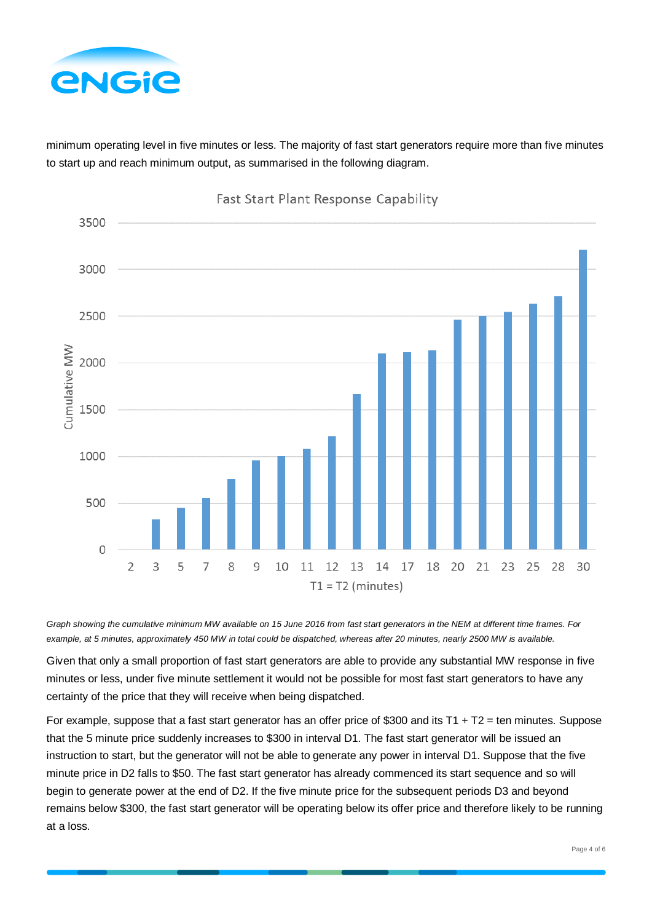

minimum operating level in five minutes or less. The majority of fast start generators require more than five minutes to start up and reach minimum output, as summarised in the following diagram.



*Graph showing the cumulative minimum MW available on 15 June 2016 from fast start generators in the NEM at different time frames. For example, at 5 minutes, approximately 450 MW in total could be dispatched, whereas after 20 minutes, nearly 2500 MW is available.*

Given that only a small proportion of fast start generators are able to provide any substantial MW response in five minutes or less, under five minute settlement it would not be possible for most fast start generators to have any certainty of the price that they will receive when being dispatched.

For example, suppose that a fast start generator has an offer price of \$300 and its T1 + T2 = ten minutes. Suppose that the 5 minute price suddenly increases to \$300 in interval D1. The fast start generator will be issued an instruction to start, but the generator will not be able to generate any power in interval D1. Suppose that the five minute price in D2 falls to \$50. The fast start generator has already commenced its start sequence and so will begin to generate power at the end of D2. If the five minute price for the subsequent periods D3 and beyond remains below \$300, the fast start generator will be operating below its offer price and therefore likely to be running at a loss.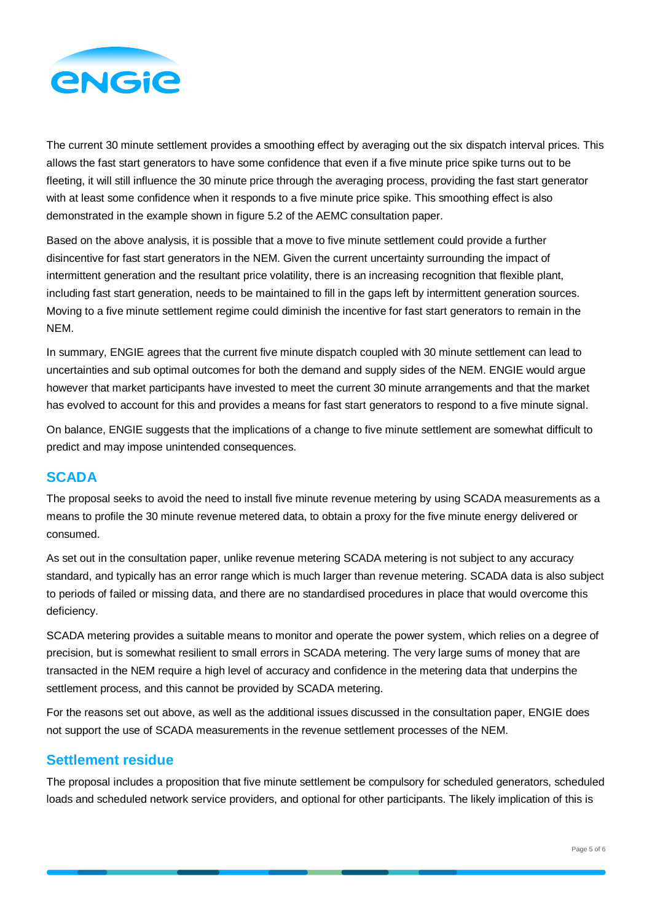

The current 30 minute settlement provides a smoothing effect by averaging out the six dispatch interval prices. This allows the fast start generators to have some confidence that even if a five minute price spike turns out to be fleeting, it will still influence the 30 minute price through the averaging process, providing the fast start generator with at least some confidence when it responds to a five minute price spike. This smoothing effect is also demonstrated in the example shown in figure 5.2 of the AEMC consultation paper.

Based on the above analysis, it is possible that a move to five minute settlement could provide a further disincentive for fast start generators in the NEM. Given the current uncertainty surrounding the impact of intermittent generation and the resultant price volatility, there is an increasing recognition that flexible plant, including fast start generation, needs to be maintained to fill in the gaps left by intermittent generation sources. Moving to a five minute settlement regime could diminish the incentive for fast start generators to remain in the NEM.

In summary, ENGIE agrees that the current five minute dispatch coupled with 30 minute settlement can lead to uncertainties and sub optimal outcomes for both the demand and supply sides of the NEM. ENGIE would argue however that market participants have invested to meet the current 30 minute arrangements and that the market has evolved to account for this and provides a means for fast start generators to respond to a five minute signal.

On balance, ENGIE suggests that the implications of a change to five minute settlement are somewhat difficult to predict and may impose unintended consequences.

## **SCADA**

The proposal seeks to avoid the need to install five minute revenue metering by using SCADA measurements as a means to profile the 30 minute revenue metered data, to obtain a proxy for the five minute energy delivered or consumed.

As set out in the consultation paper, unlike revenue metering SCADA metering is not subject to any accuracy standard, and typically has an error range which is much larger than revenue metering. SCADA data is also subject to periods of failed or missing data, and there are no standardised procedures in place that would overcome this deficiency.

SCADA metering provides a suitable means to monitor and operate the power system, which relies on a degree of precision, but is somewhat resilient to small errors in SCADA metering. The very large sums of money that are transacted in the NEM require a high level of accuracy and confidence in the metering data that underpins the settlement process, and this cannot be provided by SCADA metering.

For the reasons set out above, as well as the additional issues discussed in the consultation paper, ENGIE does not support the use of SCADA measurements in the revenue settlement processes of the NEM.

## **Settlement residue**

The proposal includes a proposition that five minute settlement be compulsory for scheduled generators, scheduled loads and scheduled network service providers, and optional for other participants. The likely implication of this is